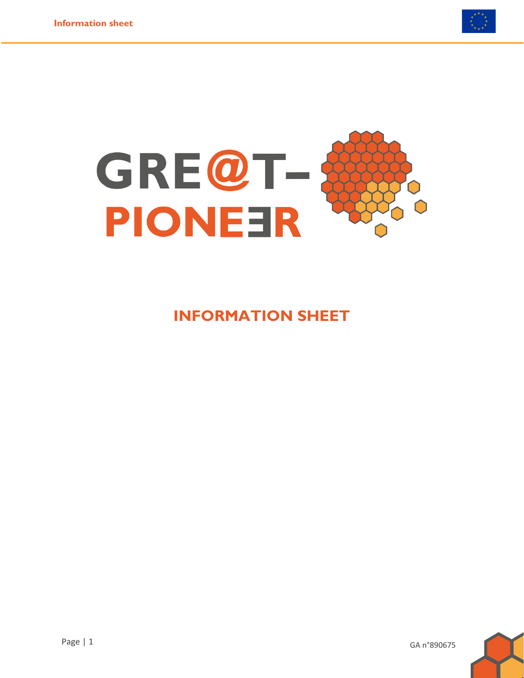



#### **INFORMATION SHEET**



GA n°890675

Page | 1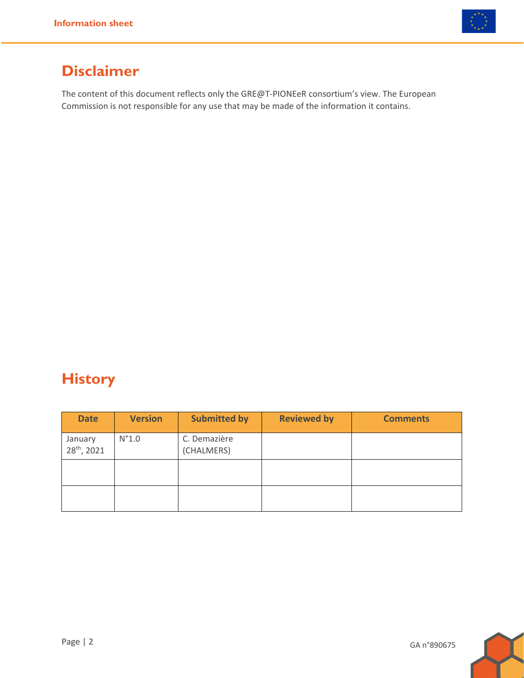

#### **Disclaimer**

The content of this document reflects only the GRE@T-PIONEeR consortium's view. The European Commission is not responsible for any use that may be made of the information it contains.

## **History**

| <b>Date</b>                        | <b>Version</b> | <b>Submitted by</b>        | <b>Reviewed by</b> | <b>Comments</b> |
|------------------------------------|----------------|----------------------------|--------------------|-----------------|
| January<br>28 <sup>th</sup> , 2021 | $N^{\circ}1.0$ | C. Demazière<br>(CHALMERS) |                    |                 |
|                                    |                |                            |                    |                 |
|                                    |                |                            |                    |                 |

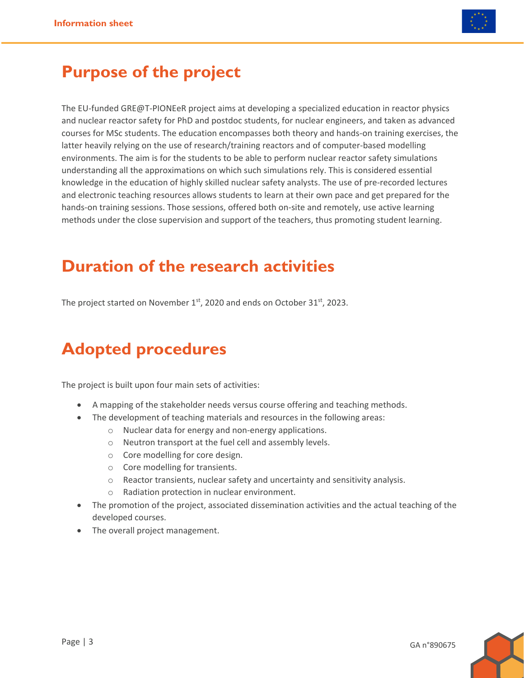

## **Purpose of the project**

The EU-funded GRE@T-PIONEeR project aims at developing a specialized education in reactor physics and nuclear reactor safety for PhD and postdoc students, for nuclear engineers, and taken as advanced courses for MSc students. The education encompasses both theory and hands-on training exercises, the latter heavily relying on the use of research/training reactors and of computer-based modelling environments. The aim is for the students to be able to perform nuclear reactor safety simulations understanding all the approximations on which such simulations rely. This is considered essential knowledge in the education of highly skilled nuclear safety analysts. The use of pre-recorded lectures and electronic teaching resources allows students to learn at their own pace and get prepared for the hands-on training sessions. Those sessions, offered both on-site and remotely, use active learning methods under the close supervision and support of the teachers, thus promoting student learning.

#### **Duration of the research activities**

The project started on November  $1<sup>st</sup>$ , 2020 and ends on October 31 $<sup>st</sup>$ , 2023.</sup>

## **Adopted procedures**

The project is built upon four main sets of activities:

- A mapping of the stakeholder needs versus course offering and teaching methods.
- The development of teaching materials and resources in the following areas:
	- o Nuclear data for energy and non-energy applications.
	- o Neutron transport at the fuel cell and assembly levels.
	- o Core modelling for core design.
	- o Core modelling for transients.
	- o Reactor transients, nuclear safety and uncertainty and sensitivity analysis.
	- o Radiation protection in nuclear environment.
- The promotion of the project, associated dissemination activities and the actual teaching of the developed courses.
- The overall project management.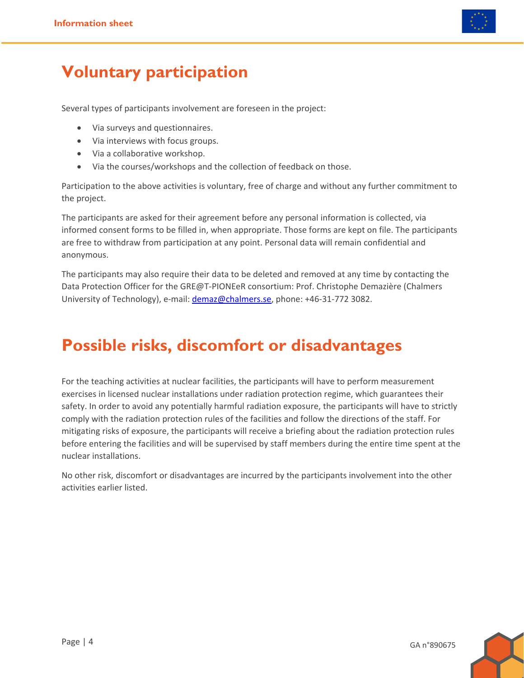

## **Voluntary participation**

Several types of participants involvement are foreseen in the project:

- Via surveys and questionnaires.
- Via interviews with focus groups.
- Via a collaborative workshop.
- Via the courses/workshops and the collection of feedback on those.

Participation to the above activities is voluntary, free of charge and without any further commitment to the project.

The participants are asked for their agreement before any personal information is collected, via informed consent forms to be filled in, when appropriate. Those forms are kept on file. The participants are free to withdraw from participation at any point. Personal data will remain confidential and anonymous.

The participants may also require their data to be deleted and removed at any time by contacting the Data Protection Officer for the GRE@T-PIONEeR consortium: Prof. Christophe Demazière (Chalmers University of Technology), e-mail: [demaz@chalmers.se,](mailto:demaz@chalmers.se) phone: +46-31-772 3082.

## **Possible risks, discomfort or disadvantages**

For the teaching activities at nuclear facilities, the participants will have to perform measurement exercises in licensed nuclear installations under radiation protection regime, which guarantees their safety. In order to avoid any potentially harmful radiation exposure, the participants will have to strictly comply with the radiation protection rules of the facilities and follow the directions of the staff. For mitigating risks of exposure, the participants will receive a briefing about the radiation protection rules before entering the facilities and will be supervised by staff members during the entire time spent at the nuclear installations.

No other risk, discomfort or disadvantages are incurred by the participants involvement into the other activities earlier listed.

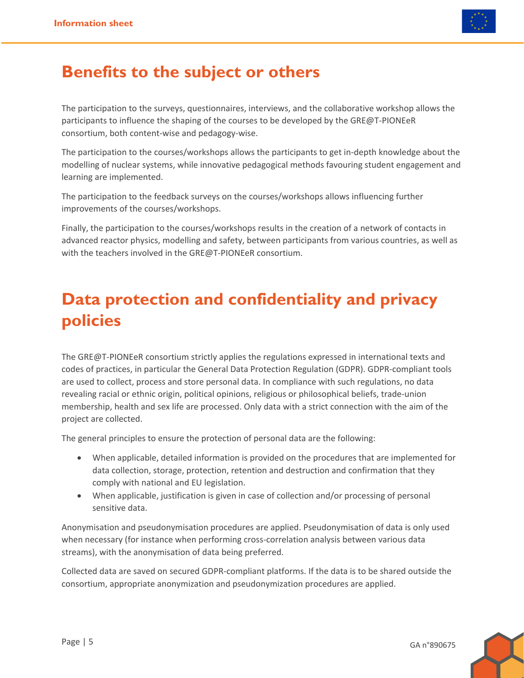

#### **Benefits to the subject or others**

The participation to the surveys, questionnaires, interviews, and the collaborative workshop allows the participants to influence the shaping of the courses to be developed by the GRE@T-PIONEeR consortium, both content-wise and pedagogy-wise.

The participation to the courses/workshops allows the participants to get in-depth knowledge about the modelling of nuclear systems, while innovative pedagogical methods favouring student engagement and learning are implemented.

The participation to the feedback surveys on the courses/workshops allows influencing further improvements of the courses/workshops.

Finally, the participation to the courses/workshops results in the creation of a network of contacts in advanced reactor physics, modelling and safety, between participants from various countries, as well as with the teachers involved in the GRE@T-PIONEeR consortium.

# **Data protection and confidentiality and privacy policies**

The GRE@T-PIONEeR consortium strictly applies the regulations expressed in international texts and codes of practices, in particular the General Data Protection Regulation (GDPR). GDPR-compliant tools are used to collect, process and store personal data. In compliance with such regulations, no data revealing racial or ethnic origin, political opinions, religious or philosophical beliefs, trade-union membership, health and sex life are processed. Only data with a strict connection with the aim of the project are collected.

The general principles to ensure the protection of personal data are the following:

- When applicable, detailed information is provided on the procedures that are implemented for data collection, storage, protection, retention and destruction and confirmation that they comply with national and EU legislation.
- When applicable, justification is given in case of collection and/or processing of personal sensitive data.

Anonymisation and pseudonymisation procedures are applied. Pseudonymisation of data is only used when necessary (for instance when performing cross-correlation analysis between various data streams), with the anonymisation of data being preferred.

Collected data are saved on secured GDPR-compliant platforms. If the data is to be shared outside the consortium, appropriate anonymization and pseudonymization procedures are applied.